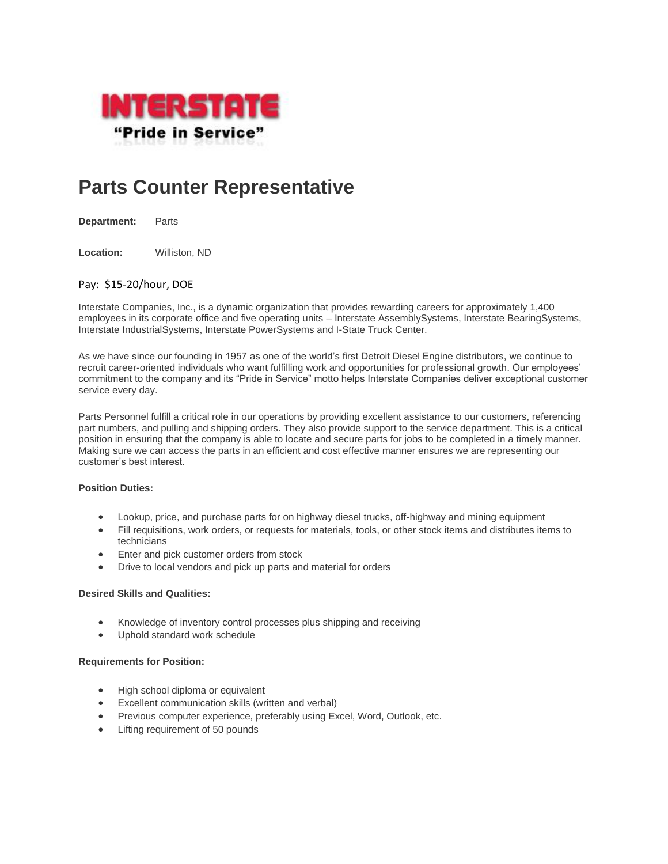

# **Parts Counter Representative**

**Department:** Parts

**Location:** Williston, ND

# Pay: \$15-20/hour, DOE

Interstate Companies, Inc., is a dynamic organization that provides rewarding careers for approximately 1,400 employees in its corporate office and five operating units – Interstate AssemblySystems, Interstate BearingSystems, Interstate IndustrialSystems, Interstate PowerSystems and I-State Truck Center.

As we have since our founding in 1957 as one of the world's first Detroit Diesel Engine distributors, we continue to recruit career-oriented individuals who want fulfilling work and opportunities for professional growth. Our employees' commitment to the company and its "Pride in Service" motto helps Interstate Companies deliver exceptional customer service every day.

Parts Personnel fulfill a critical role in our operations by providing excellent assistance to our customers, referencing part numbers, and pulling and shipping orders. They also provide support to the service department. This is a critical position in ensuring that the company is able to locate and secure parts for jobs to be completed in a timely manner. Making sure we can access the parts in an efficient and cost effective manner ensures we are representing our customer's best interest.

### **Position Duties:**

- Lookup, price, and purchase parts for on highway diesel trucks, off-highway and mining equipment
- Fill requisitions, work orders, or requests for materials, tools, or other stock items and distributes items to technicians
- **Enter and pick customer orders from stock**
- Drive to local vendors and pick up parts and material for orders

#### **Desired Skills and Qualities:**

- Knowledge of inventory control processes plus shipping and receiving
- Uphold standard work schedule

#### **Requirements for Position:**

- High school diploma or equivalent
- Excellent communication skills (written and verbal)
- Previous computer experience, preferably using Excel, Word, Outlook, etc.
- Lifting requirement of 50 pounds